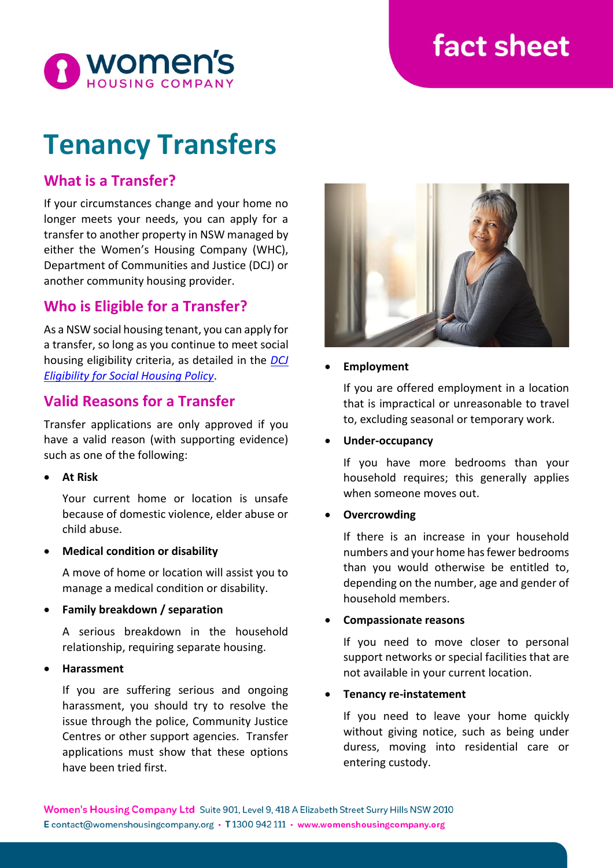# fact sheet



# **Tenancy Transfers**

# **What is a Transfer?**

If your circumstances change and your home no longer meets your needs, you can apply for a transfer to another property in NSW managed by either the Women's Housing Company (WHC), Department of Communities and Justice (DCJ) or another community housing provider.

# **Who is Eligible for a Transfer?**

As a NSW social housing tenant, you can apply for a transfer, so long as you continue to meet social housing eligibility criteria, as detailed in the *[DCJ](https://www.facs.nsw.gov.au/housing/policies/eligibility-social-housing-policy)  [Eligibility for Social Housing Policy](https://www.facs.nsw.gov.au/housing/policies/eligibility-social-housing-policy)*.

## **Valid Reasons for a Transfer**

Transfer applications are only approved if you have a valid reason (with supporting evidence) such as one of the following:

• **At Risk**

Your current home or location is unsafe because of domestic violence, elder abuse or child abuse.

• **Medical condition or disability**

A move of home or location will assist you to manage a medical condition or disability.

• **Family breakdown / separation**

A serious breakdown in the household relationship, requiring separate housing.

• **Harassment**

If you are suffering serious and ongoing harassment, you should try to resolve the issue through the police, Community Justice Centres or other support agencies. Transfer applications must show that these options have been tried first.



#### • **Employment**

If you are offered employment in a location that is impractical or unreasonable to travel to, excluding seasonal or temporary work.

#### • **Under-occupancy**

If you have more bedrooms than your household requires; this generally applies when someone moves out.

#### • **Overcrowding**

If there is an increase in your household numbers and your home has fewer bedrooms than you would otherwise be entitled to, depending on the number, age and gender of household members.

#### • **Compassionate reasons**

If you need to move closer to personal support networks or special facilities that are not available in your current location.

#### • **Tenancy re-instatement**

If you need to leave your home quickly without giving notice, such as being under duress, moving into residential care or entering custody.